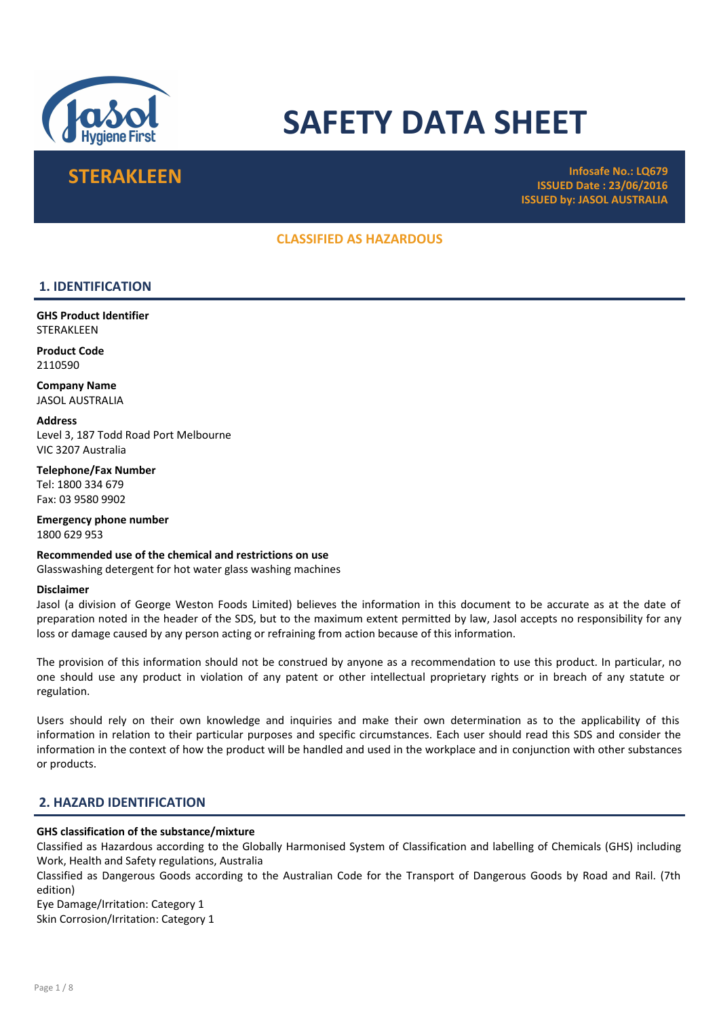

# SAFETY DATA SHEET

STERAKLEEN **Infosafe No.: LQ679** ISSUED Date : 23/06/2016 ISSUED by: JASOL AUSTRALIA

# CLASSIFIED AS HAZARDOUS

# 1. IDENTIFICATION

GHS Product Identifier **STERAKLEEN** 

Product Code 2110590

Company Name JASOL AUSTRALIA

**Address** Level 3, 187 Todd Road Port Melbourne VIC 3207 Australia

Telephone/Fax Number Tel: 1800 334 679 Fax: 03 9580 9902

Emergency phone number 1800 629 953

Recommended use of the chemical and restrictions on use Glasswashing detergent for hot water glass washing machines

#### Disclaimer

Jasol (a division of George Weston Foods Limited) believes the information in this document to be accurate as at the date of preparation noted in the header of the SDS, but to the maximum extent permitted by law, Jasol accepts no responsibility for any loss or damage caused by any person acting or refraining from action because of this information.

The provision of this information should not be construed by anyone as a recommendation to use this product. In particular, no one should use any product in violation of any patent or other intellectual proprietary rights or in breach of any statute or regulation.

Users should rely on their own knowledge and inquiries and make their own determination as to the applicability of this information in relation to their particular purposes and specific circumstances. Each user should read this SDS and consider the information in the context of how the product will be handled and used in the workplace and in conjunction with other substances or products.

# 2. HAZARD IDENTIFICATION

#### GHS classification of the substance/mixture

Classified as Hazardous according to the Globally Harmonised System of Classification and labelling of Chemicals (GHS) including Work, Health and Safety regulations, Australia

Classified as Dangerous Goods according to the Australian Code for the Transport of Dangerous Goods by Road and Rail. (7th edition)

Eye Damage/Irritation: Category 1 Skin Corrosion/Irritation: Category 1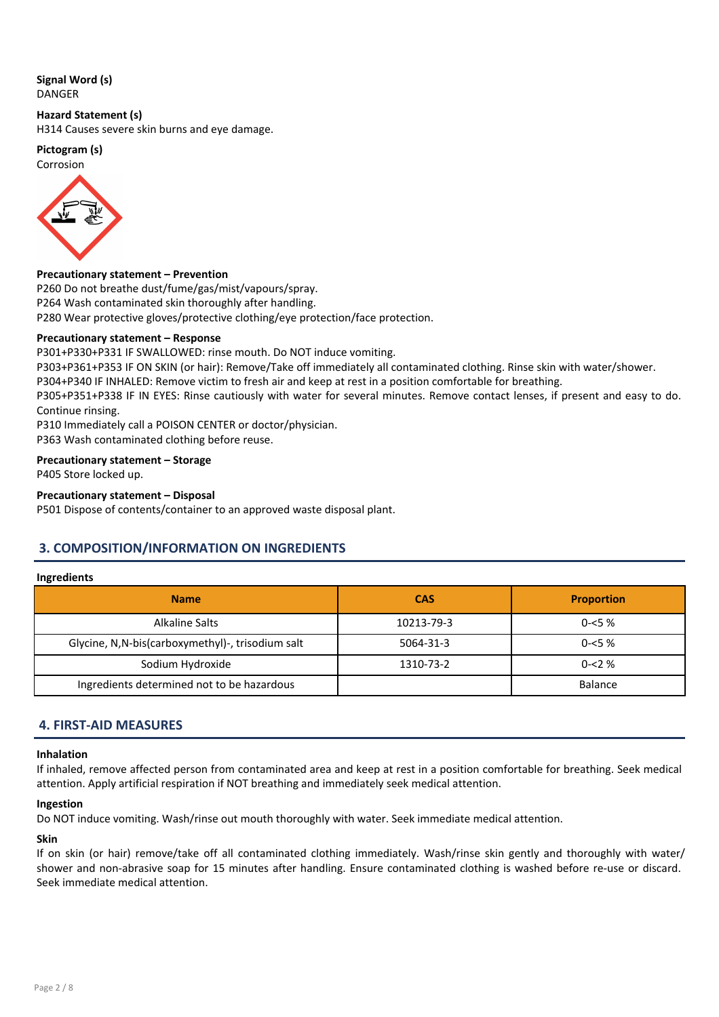#### Signal Word (s) DANGER

Hazard Statement (s)

H314 Causes severe skin burns and eye damage.

Pictogram (s)

Corrosion



#### Precautionary statement – Prevention

P260 Do not breathe dust/fume/gas/mist/vapours/spray. P264 Wash contaminated skin thoroughly after handling. P280 Wear protective gloves/protective clothing/eye protection/face protection.

#### Precautionary statement – Response

P301+P330+P331 IF SWALLOWED: rinse mouth. Do NOT induce vomiting.

P303+P361+P353 IF ON SKIN (or hair): Remove/Take off immediately all contaminated clothing. Rinse skin with water/shower.

P304+P340 IF INHALED: Remove victim to fresh air and keep at rest in a position comfortable for breathing.

P305+P351+P338 IF IN EYES: Rinse cautiously with water for several minutes. Remove contact lenses, if present and easy to do. Continue rinsing.

P310 Immediately call a POISON CENTER or doctor/physician.

P363 Wash contaminated clothing before reuse.

#### Precautionary statement – Storage

P405 Store locked up.

#### Precautionary statement – Disposal

P501 Dispose of contents/container to an approved waste disposal plant.

# 3. COMPOSITION/INFORMATION ON INGREDIENTS

#### Ingredients

| <b>Name</b>                                      | <b>CAS</b> | <b>Proportion</b> |
|--------------------------------------------------|------------|-------------------|
| Alkaline Salts                                   | 10213-79-3 | $0 - 5 \%$        |
| Glycine, N,N-bis(carboxymethyl)-, trisodium salt | 5064-31-3  | $0 - 5 \%$        |
| Sodium Hydroxide                                 | 1310-73-2  | $0 - 2\%$         |
| Ingredients determined not to be hazardous       |            | <b>Balance</b>    |

# 4. FIRST-AID MEASURES

#### Inhalation

If inhaled, remove affected person from contaminated area and keep at rest in a position comfortable for breathing. Seek medical attention. Apply artificial respiration if NOT breathing and immediately seek medical attention.

#### Ingestion

Do NOT induce vomiting. Wash/rinse out mouth thoroughly with water. Seek immediate medical attention.

#### Skin

If on skin (or hair) remove/take off all contaminated clothing immediately. Wash/rinse skin gently and thoroughly with water/ shower and non-abrasive soap for 15 minutes after handling. Ensure contaminated clothing is washed before re-use or discard. Seek immediate medical attention.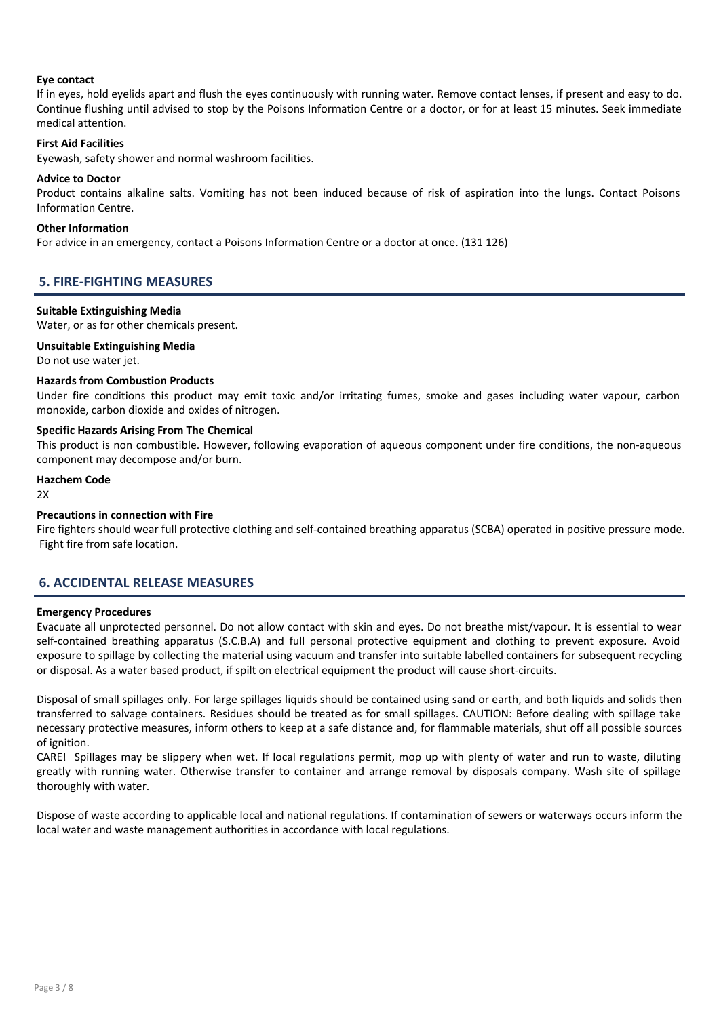#### Eye contact

If in eyes, hold eyelids apart and flush the eyes continuously with running water. Remove contact lenses, if present and easy to do. Continue flushing until advised to stop by the Poisons Information Centre or a doctor, or for at least 15 minutes. Seek immediate medical attention.

#### First Aid Facilities

Eyewash, safety shower and normal washroom facilities.

#### Advice to Doctor

Product contains alkaline salts. Vomiting has not been induced because of risk of aspiration into the lungs. Contact Poisons Information Centre.

#### Other Information

For advice in an emergency, contact a Poisons Information Centre or a doctor at once. (131 126)

# 5. FIRE-FIGHTING MEASURES

#### Suitable Extinguishing Media

Water, or as for other chemicals present.

#### Unsuitable Extinguishing Media

Do not use water jet.

#### Hazards from Combustion Products

Under fire conditions this product may emit toxic and/or irritating fumes, smoke and gases including water vapour, carbon monoxide, carbon dioxide and oxides of nitrogen.

#### Specific Hazards Arising From The Chemical

This product is non combustible. However, following evaporation of aqueous component under fire conditions, the non-aqueous component may decompose and/or burn.

#### Hazchem Code

 $2Y$ 

#### Precautions in connection with Fire

Fire fighters should wear full protective clothing and self-contained breathing apparatus (SCBA) operated in positive pressure mode. Fight fire from safe location.

# 6. ACCIDENTAL RELEASE MEASURES

#### Emergency Procedures

Evacuate all unprotected personnel. Do not allow contact with skin and eyes. Do not breathe mist/vapour. It is essential to wear self-contained breathing apparatus (S.C.B.A) and full personal protective equipment and clothing to prevent exposure. Avoid exposure to spillage by collecting the material using vacuum and transfer into suitable labelled containers for subsequent recycling or disposal. As a water based product, if spilt on electrical equipment the product will cause short-circuits.

Disposal of small spillages only. For large spillages liquids should be contained using sand or earth, and both liquids and solids then transferred to salvage containers. Residues should be treated as for small spillages. CAUTION: Before dealing with spillage take necessary protective measures, inform others to keep at a safe distance and, for flammable materials, shut off all possible sources of ignition.

CARE! Spillages may be slippery when wet. If local regulations permit, mop up with plenty of water and run to waste, diluting greatly with running water. Otherwise transfer to container and arrange removal by disposals company. Wash site of spillage thoroughly with water.

Dispose of waste according to applicable local and national regulations. If contamination of sewers or waterways occurs inform the local water and waste management authorities in accordance with local regulations.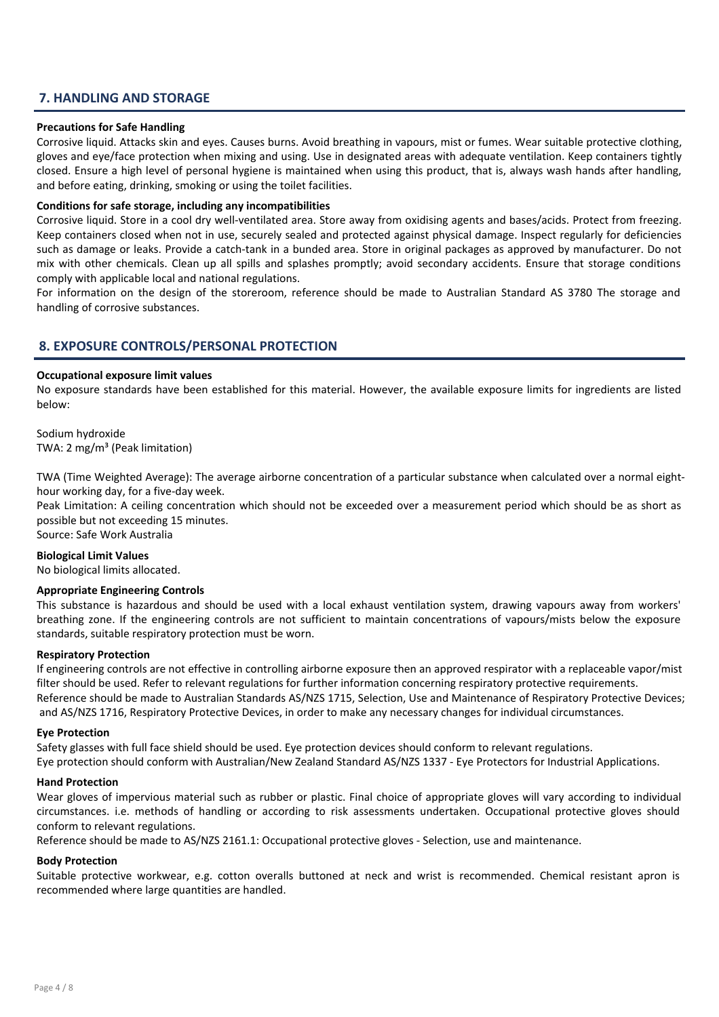# 7. HANDLING AND STORAGE

#### Precautions for Safe Handling

Corrosive liquid. Attacks skin and eyes. Causes burns. Avoid breathing in vapours, mist or fumes. Wear suitable protective clothing, gloves and eye/face protection when mixing and using. Use in designated areas with adequate ventilation. Keep containers tightly closed. Ensure a high level of personal hygiene is maintained when using this product, that is, always wash hands after handling, and before eating, drinking, smoking or using the toilet facilities.

#### Conditions for safe storage, including any incompatibilities

Corrosive liquid. Store in a cool dry well-ventilated area. Store away from oxidising agents and bases/acids. Protect from freezing. Keep containers closed when not in use, securely sealed and protected against physical damage. Inspect regularly for deficiencies such as damage or leaks. Provide a catch-tank in a bunded area. Store in original packages as approved by manufacturer. Do not mix with other chemicals. Clean up all spills and splashes promptly; avoid secondary accidents. Ensure that storage conditions comply with applicable local and national regulations.

For information on the design of the storeroom, reference should be made to Australian Standard AS 3780 The storage and handling of corrosive substances.

# 8. EXPOSURE CONTROLS/PERSONAL PROTECTION

#### Occupational exposure limit values

No exposure standards have been established for this material. However, the available exposure limits for ingredients are listed below:

Sodium hydroxide TWA: 2 mg/m³ (Peak limitation)

TWA (Time Weighted Average): The average airborne concentration of a particular substance when calculated over a normal eighthour working day, for a five-day week.

Peak Limitation: A ceiling concentration which should not be exceeded over a measurement period which should be as short as possible but not exceeding 15 minutes.

Source: Safe Work Australia

#### Biological Limit Values

No biological limits allocated.

#### Appropriate Engineering Controls

This substance is hazardous and should be used with a local exhaust ventilation system, drawing vapours away from workers' breathing zone. If the engineering controls are not sufficient to maintain concentrations of vapours/mists below the exposure standards, suitable respiratory protection must be worn.

#### Respiratory Protection

If engineering controls are not effective in controlling airborne exposure then an approved respirator with a replaceable vapor/mist filter should be used. Refer to relevant regulations for further information concerning respiratory protective requirements. Reference should be made to Australian Standards AS/NZS 1715, Selection, Use and Maintenance of Respiratory Protective Devices; and AS/NZS 1716, Respiratory Protective Devices, in order to make any necessary changes for individual circumstances.

#### Eye Protection

Safety glasses with full face shield should be used. Eye protection devices should conform to relevant regulations. Eye protection should conform with Australian/New Zealand Standard AS/NZS 1337 - Eye Protectors for Industrial Applications.

#### Hand Protection

Wear gloves of impervious material such as rubber or plastic. Final choice of appropriate gloves will vary according to individual circumstances. i.e. methods of handling or according to risk assessments undertaken. Occupational protective gloves should conform to relevant regulations.

Reference should be made to AS/NZS 2161.1: Occupational protective gloves - Selection, use and maintenance.

#### Body Protection

Suitable protective workwear, e.g. cotton overalls buttoned at neck and wrist is recommended. Chemical resistant apron is recommended where large quantities are handled.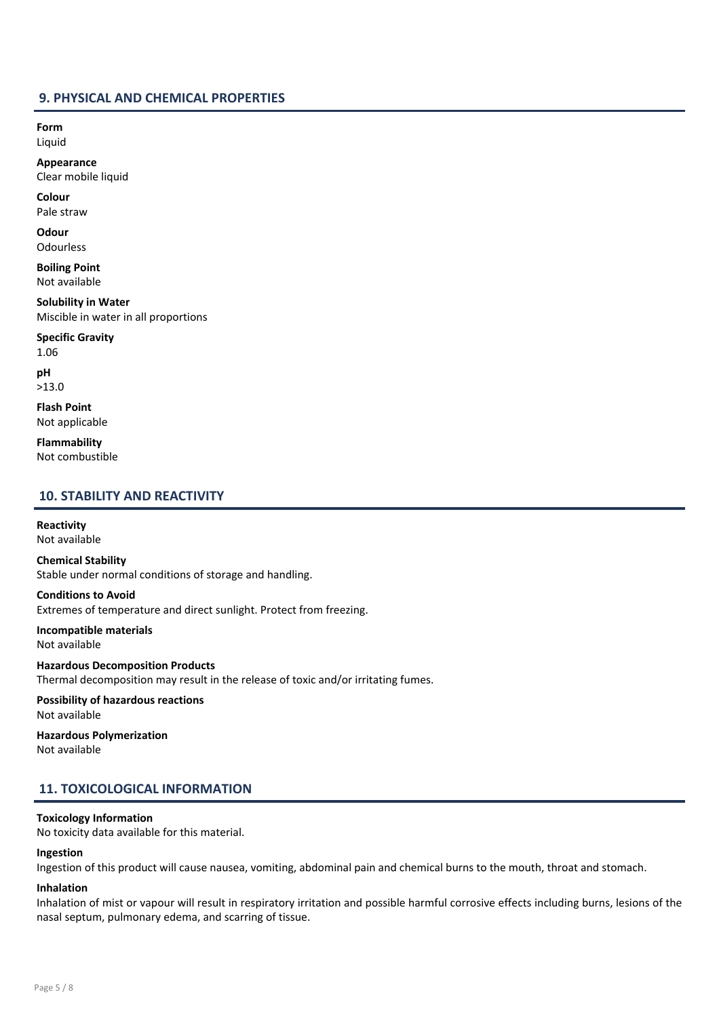### 9. PHYSICAL AND CHEMICAL PROPERTIES

Form Liquid

Appearance Clear mobile liquid

Colour Pale straw

**Odour Odourless** 

Boiling Point Not available

Solubility in Water Miscible in water in all proportions

Specific Gravity 1.06

pH >13.0

Flash Point Not applicable

Flammability Not combustible

### 10. STABILITY AND REACTIVITY

Reactivity Not available

Chemical Stability Stable under normal conditions of storage and handling.

Conditions to Avoid Extremes of temperature and direct sunlight. Protect from freezing.

Incompatible materials Not available

Hazardous Decomposition Products Thermal decomposition may result in the release of toxic and/or irritating fumes.

Possibility of hazardous reactions Not available

Hazardous Polymerization Not available

# 11. TOXICOLOGICAL INFORMATION

### Toxicology Information

No toxicity data available for this material.

## Ingestion

Ingestion of this product will cause nausea, vomiting, abdominal pain and chemical burns to the mouth, throat and stomach.

#### Inhalation

Inhalation of mist or vapour will result in respiratory irritation and possible harmful corrosive effects including burns, lesions of the nasal septum, pulmonary edema, and scarring of tissue.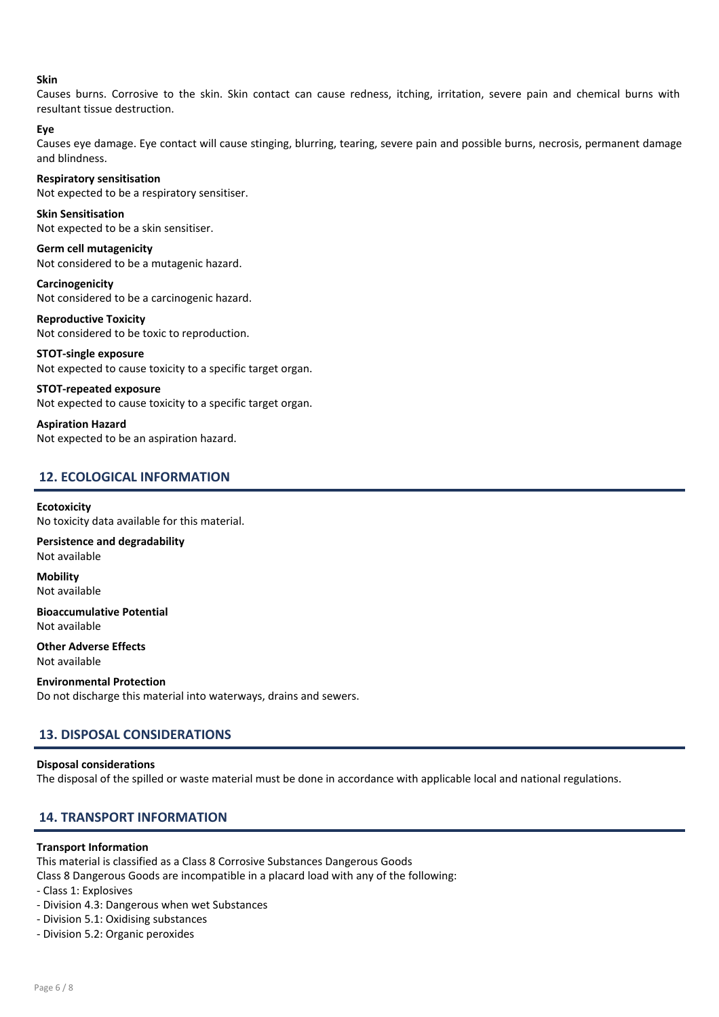#### Skin

Causes burns. Corrosive to the skin. Skin contact can cause redness, itching, irritation, severe pain and chemical burns with resultant tissue destruction.

#### Eye

Causes eye damage. Eye contact will cause stinging, blurring, tearing, severe pain and possible burns, necrosis, permanent damage and blindness.

#### Respiratory sensitisation

Not expected to be a respiratory sensitiser.

Skin Sensitisation Not expected to be a skin sensitiser.

Germ cell mutagenicity Not considered to be a mutagenic hazard.

Carcinogenicity Not considered to be a carcinogenic hazard.

Reproductive Toxicity Not considered to be toxic to reproduction. STOT-single exposure

# Not expected to cause toxicity to a specific target organ.

STOT-repeated exposure Not expected to cause toxicity to a specific target organ.

Aspiration Hazard Not expected to be an aspiration hazard.

# 12. ECOLOGICAL INFORMATION

#### **Ecotoxicity**

No toxicity data available for this material.

Persistence and degradability Not available

Mobility Not available

Bioaccumulative Potential Not available

Other Adverse Effects Not available

Environmental Protection Do not discharge this material into waterways, drains and sewers.

# 13. DISPOSAL CONSIDERATIONS

#### Disposal considerations

The disposal of the spilled or waste material must be done in accordance with applicable local and national regulations.

# 14. TRANSPORT INFORMATION

#### Transport Information

This material is classified as a Class 8 Corrosive Substances Dangerous Goods

Class 8 Dangerous Goods are incompatible in a placard load with any of the following:

- Class 1: Explosives
- Division 4.3: Dangerous when wet Substances
- Division 5.1: Oxidising substances
- Division 5.2: Organic peroxides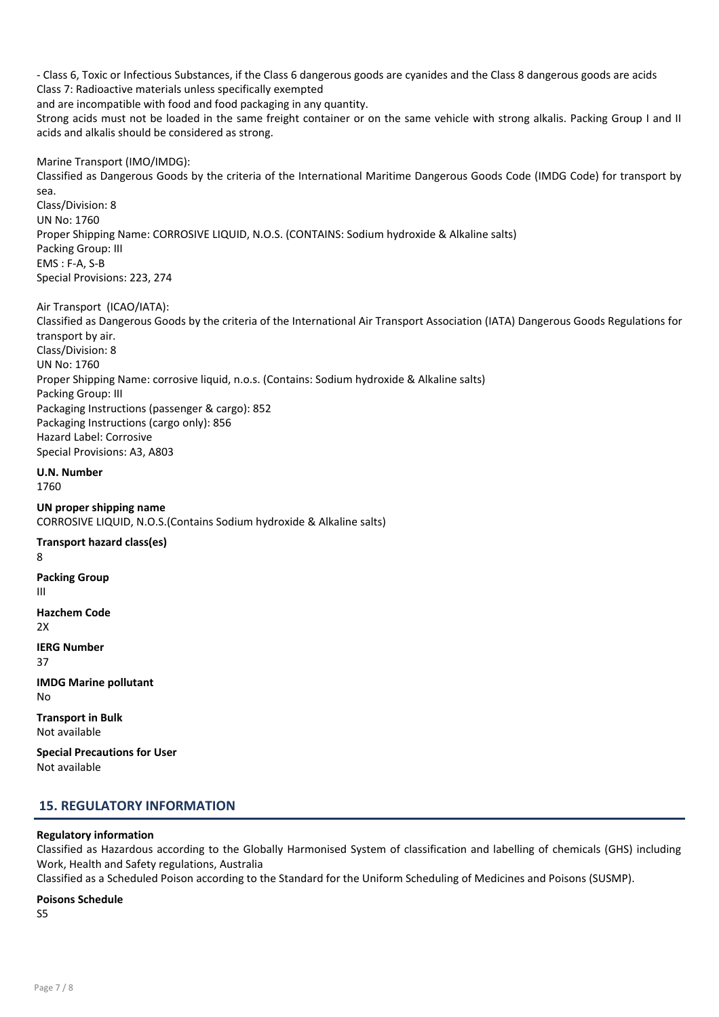- Class 6, Toxic or Infectious Substances, if the Class 6 dangerous goods are cyanides and the Class 8 dangerous goods are acids Class 7: Radioactive materials unless specifically exempted and are incompatible with food and food packaging in any quantity. Strong acids must not be loaded in the same freight container or on the same vehicle with strong alkalis. Packing Group I and II acids and alkalis should be considered as strong.

Marine Transport (IMO/IMDG): Classified as Dangerous Goods by the criteria of the International Maritime Dangerous Goods Code (IMDG Code) for transport by sea. Class/Division: 8 UN No: 1760 Proper Shipping Name: CORROSIVE LIQUID, N.O.S. (CONTAINS: Sodium hydroxide & Alkaline salts) Packing Group: III EMS : F-A, S-B Special Provisions: 223, 274

Air Transport (ICAO/IATA): Classified as Dangerous Goods by the criteria of the International Air Transport Association (IATA) Dangerous Goods Regulations for transport by air. Class/Division: 8 UN No: 1760 Proper Shipping Name: corrosive liquid, n.o.s. (Contains: Sodium hydroxide & Alkaline salts) Packing Group: III Packaging Instructions (passenger & cargo): 852 Packaging Instructions (cargo only): 856 Hazard Label: Corrosive Special Provisions: A3, A803

U.N. Number 1760

UN proper shipping name CORROSIVE LIQUID, N.O.S.(Contains Sodium hydroxide & Alkaline salts)

Transport hazard class(es) 8 Packing Group III Hazchem Code 2X IERG Number 37 IMDG Marine pollutant No Transport in Bulk Not available

Special Precautions for User Not available

# 15. REGULATORY INFORMATION

#### Regulatory information

Classified as Hazardous according to the Globally Harmonised System of classification and labelling of chemicals (GHS) including Work, Health and Safety regulations, Australia

Classified as a Scheduled Poison according to the Standard for the Uniform Scheduling of Medicines and Poisons (SUSMP).

Poisons Schedule

S5